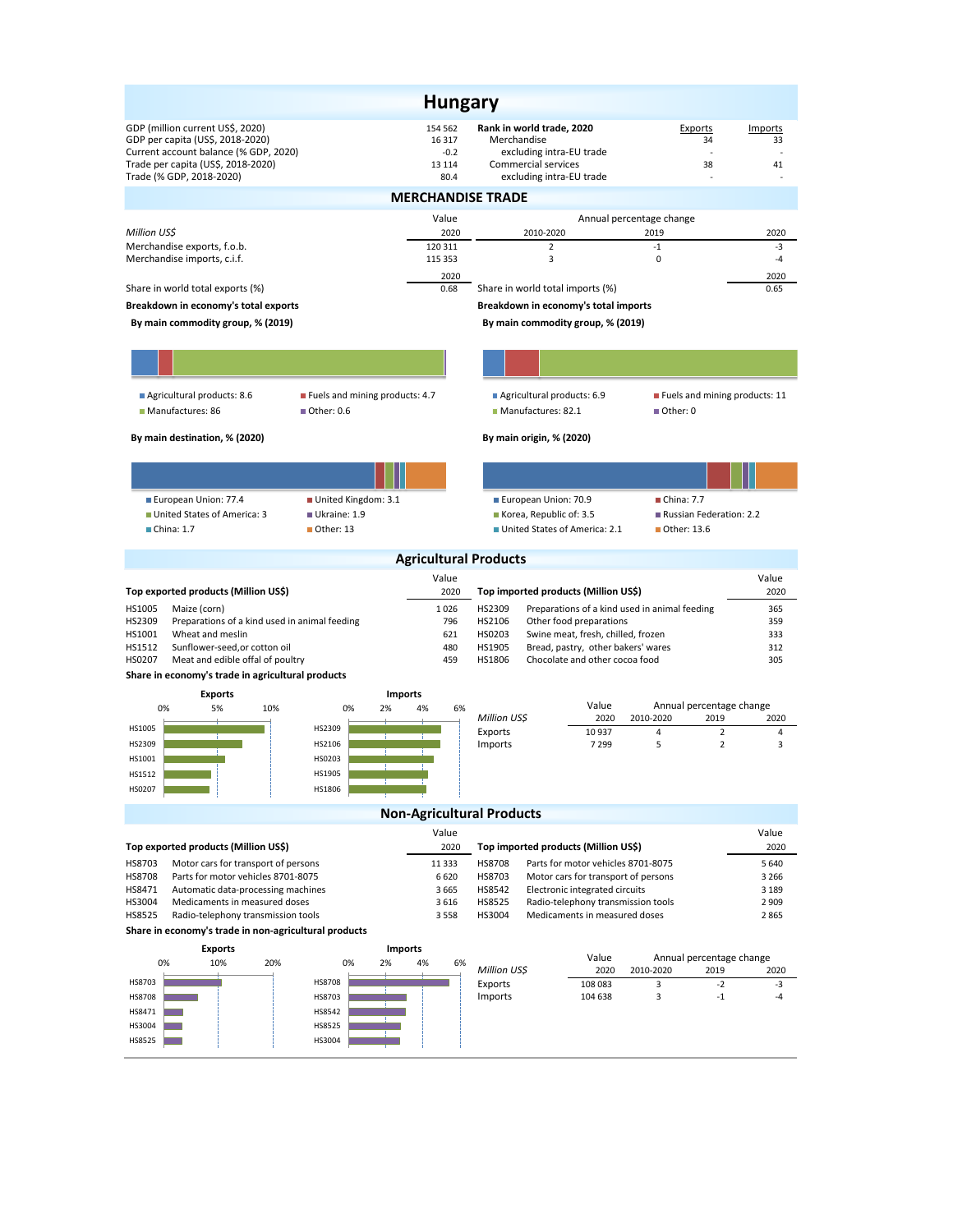| <b>Hungary</b>                                                                                                                                                                  |                                                |                                                                                                                         |                                                                     |                                               |                     |  |  |  |  |
|---------------------------------------------------------------------------------------------------------------------------------------------------------------------------------|------------------------------------------------|-------------------------------------------------------------------------------------------------------------------------|---------------------------------------------------------------------|-----------------------------------------------|---------------------|--|--|--|--|
| GDP (million current US\$, 2020)<br>GDP per capita (US\$, 2018-2020)<br>Current account balance (% GDP, 2020)<br>Trade per capita (US\$, 2018-2020)<br>Trade (% GDP, 2018-2020) | 154 562<br>16 3 17<br>$-0.2$<br>13 114<br>80.4 | Rank in world trade, 2020<br>Merchandise<br>excluding intra-EU trade<br>Commercial services<br>excluding intra-EU trade |                                                                     | Exports<br>34<br>38                           | Imports<br>33<br>41 |  |  |  |  |
| <b>MERCHANDISE TRADE</b>                                                                                                                                                        |                                                |                                                                                                                         |                                                                     |                                               |                     |  |  |  |  |
| Million US\$                                                                                                                                                                    | Value<br>2020                                  | 2010-2020                                                                                                               | Annual percentage change                                            | 2019                                          | 2020                |  |  |  |  |
| Merchandise exports, f.o.b.<br>Merchandise imports, c.i.f.                                                                                                                      | 120 311<br>115 353                             | $\overline{2}$<br>3                                                                                                     |                                                                     | $-1$<br>0                                     | -3<br>$-4$          |  |  |  |  |
| Share in world total exports (%)                                                                                                                                                | 2020<br>0.68                                   | Share in world total imports (%)                                                                                        |                                                                     |                                               | 2020<br>0.65        |  |  |  |  |
| Breakdown in economy's total exports                                                                                                                                            |                                                | Breakdown in economy's total imports                                                                                    |                                                                     |                                               |                     |  |  |  |  |
| By main commodity group, % (2019)                                                                                                                                               |                                                | By main commodity group, % (2019)                                                                                       |                                                                     |                                               |                     |  |  |  |  |
|                                                                                                                                                                                 |                                                |                                                                                                                         |                                                                     |                                               |                     |  |  |  |  |
| Agricultural products: 8.6<br>■ Fuels and mining products: 4.7<br>Manufactures: 86<br>Other: 0.6                                                                                |                                                | Agricultural products: 6.9<br>Manufactures: 82.1                                                                        |                                                                     | Fuels and mining products: 11<br>Other: 0     |                     |  |  |  |  |
| By main destination, % (2020)                                                                                                                                                   |                                                | By main origin, % (2020)                                                                                                |                                                                     |                                               |                     |  |  |  |  |
|                                                                                                                                                                                 |                                                |                                                                                                                         |                                                                     |                                               |                     |  |  |  |  |
|                                                                                                                                                                                 |                                                |                                                                                                                         |                                                                     | China: 7.7                                    |                     |  |  |  |  |
| European Union: 77.4<br>United Kingdom: 3.1<br>■ United States of America: 3<br>Ukraine: 1.9                                                                                    |                                                | European Union: 70.9<br>Korea, Republic of: 3.5                                                                         |                                                                     | Russian Federation: 2.2                       |                     |  |  |  |  |
| $\blacksquare$ China: 1.7<br>$\blacksquare$ Other: 13                                                                                                                           |                                                | United States of America: 2.1                                                                                           |                                                                     | $\blacksquare$ Other: 13.6                    |                     |  |  |  |  |
|                                                                                                                                                                                 | <b>Agricultural Products</b>                   |                                                                                                                         |                                                                     |                                               |                     |  |  |  |  |
|                                                                                                                                                                                 | Value                                          |                                                                                                                         |                                                                     |                                               | Value               |  |  |  |  |
| Top exported products (Million US\$)                                                                                                                                            | 2020                                           | Top imported products (Million US\$)                                                                                    |                                                                     |                                               | 2020                |  |  |  |  |
| HS1005<br>Maize (corn)                                                                                                                                                          | 1026                                           | HS2309                                                                                                                  |                                                                     | Preparations of a kind used in animal feeding | 365                 |  |  |  |  |
| Preparations of a kind used in animal feeding<br>HS2309<br>HS1001<br>Wheat and meslin                                                                                           | 796<br>621                                     | HS2106<br>Other food preparations<br>359<br>HS0203<br>Swine meat, fresh, chilled, frozen<br>333                         |                                                                     |                                               |                     |  |  |  |  |
| HS1512<br>Sunflower-seed, or cotton oil                                                                                                                                         | 480                                            | HS1905<br>Bread, pastry, other bakers' wares                                                                            |                                                                     |                                               | 312                 |  |  |  |  |
| HS0207<br>Meat and edible offal of poultry                                                                                                                                      | 459                                            | HS1806<br>Chocolate and other cocoa food<br>305                                                                         |                                                                     |                                               |                     |  |  |  |  |
| Share in economy's trade in agricultural products                                                                                                                               |                                                |                                                                                                                         |                                                                     |                                               |                     |  |  |  |  |
| <b>Exports</b>                                                                                                                                                                  | <b>Imports</b>                                 |                                                                                                                         |                                                                     |                                               |                     |  |  |  |  |
| 0%<br>0%<br>2%<br>5%<br>10%                                                                                                                                                     | 4%<br>6%                                       | Million US\$                                                                                                            | Value<br>2020                                                       | Annual percentage change<br>2010-2020<br>2019 | 2020                |  |  |  |  |
| HS1005<br>HS2309                                                                                                                                                                |                                                | Exports                                                                                                                 | 10937                                                               | $\overline{2}$<br>4                           | 4                   |  |  |  |  |
| HS2309<br>HS2106                                                                                                                                                                |                                                | Imports                                                                                                                 | 7 2 9 9                                                             | 5<br>2                                        | 3                   |  |  |  |  |
| HS1001<br>HS0203                                                                                                                                                                |                                                |                                                                                                                         |                                                                     |                                               |                     |  |  |  |  |
| HS1512<br>HS1905                                                                                                                                                                |                                                |                                                                                                                         |                                                                     |                                               |                     |  |  |  |  |
| HS0207<br>HS1806                                                                                                                                                                |                                                |                                                                                                                         |                                                                     |                                               |                     |  |  |  |  |
| <b>Non-Agricultural Products</b><br>Value<br>Value                                                                                                                              |                                                |                                                                                                                         |                                                                     |                                               |                     |  |  |  |  |
| Top exported products (Million US\$)                                                                                                                                            | 2020                                           | Top imported products (Million US\$)                                                                                    |                                                                     |                                               | 2020                |  |  |  |  |
| HS8703<br>Motor cars for transport of persons                                                                                                                                   | 11 3 3 3                                       | <b>HS8708</b>                                                                                                           | Parts for motor vehicles 8701-8075                                  |                                               | 5 6 4 0             |  |  |  |  |
| <b>HS8708</b><br>Parts for motor vehicles 8701-8075                                                                                                                             | 6620                                           | HS8703                                                                                                                  | Motor cars for transport of persons                                 |                                               | 3 2 6 6             |  |  |  |  |
| HS8471<br>Automatic data-processing machines                                                                                                                                    | 3 6 6 5                                        | HS8542                                                                                                                  | Electronic integrated circuits                                      |                                               | 3 1 8 9             |  |  |  |  |
| HS3004<br>Medicaments in measured doses<br>HS8525<br>Radio-telephony transmission tools                                                                                         | 3 6 1 6<br>3 5 5 8                             | HS8525<br>HS3004                                                                                                        | Radio-telephony transmission tools<br>Medicaments in measured doses |                                               | 2 9 0 9<br>2 8 6 5  |  |  |  |  |
| Share in economy's trade in non-agricultural products                                                                                                                           |                                                |                                                                                                                         |                                                                     |                                               |                     |  |  |  |  |
| <b>Exports</b>                                                                                                                                                                  | <b>Imports</b>                                 |                                                                                                                         |                                                                     | Annual percentage change                      |                     |  |  |  |  |
| 10%<br>0%<br>20%<br>0%<br>2%                                                                                                                                                    | 4%<br>6%                                       | Million US\$                                                                                                            | Value<br>2020                                                       | 2010-2020<br>2019                             | 2020                |  |  |  |  |
| HS8703<br><b>HS8708</b>                                                                                                                                                         |                                                | Exports                                                                                                                 | 108 083                                                             | 3<br>$-2$                                     | -3                  |  |  |  |  |
| <b>HS8708</b><br>HS8703                                                                                                                                                         |                                                | Imports                                                                                                                 | 104 638                                                             | 3<br>$-1$                                     | -4                  |  |  |  |  |
| HS8471<br>HS8542                                                                                                                                                                |                                                |                                                                                                                         |                                                                     |                                               |                     |  |  |  |  |
| HS3004<br>HS8525                                                                                                                                                                |                                                |                                                                                                                         |                                                                     |                                               |                     |  |  |  |  |
| HS3004<br>HS8525                                                                                                                                                                |                                                |                                                                                                                         |                                                                     |                                               |                     |  |  |  |  |
|                                                                                                                                                                                 |                                                |                                                                                                                         |                                                                     |                                               |                     |  |  |  |  |